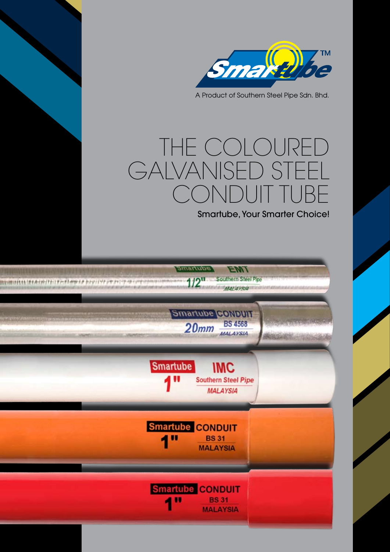

A Product of Southern Steel Pipe Sdn. Bhd.

# The Coloured GALVANISED STEEL Conduit TUBE

Smartube, Your Smarter Choice!

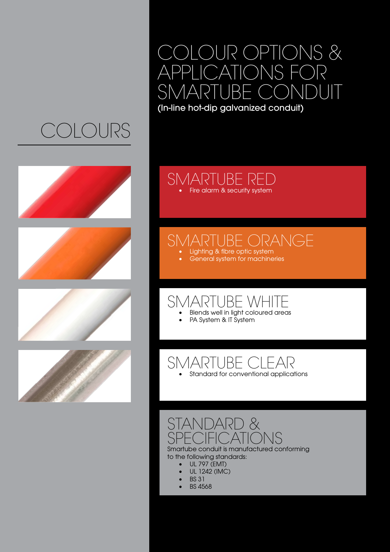# colours









## Colour Options & APPLICATIONS FC<br>SMARTUBE\_CONI SMART

(In-line hot-dip galvanized conduit)

#### SMARTUBE RED • Fire alarm & security system

### *JARTUBE ORANGE*

- Lighting & fibre optic system
- General system for machineries

## SMARTUBE WHITE

- Blends well in light coloured areas
- PA System & IT System

## SMARTUBE CLEAR

Standard for conventional applications

### STANDARD &<br>SPECIFICATIC SPECIFICATIONS Smartube conduit is manufactured conforming

to the following standards:

- • UL 797 (EMT)
- **UL 1242 (IMC)**
- **BS 31**
- **BS 4568**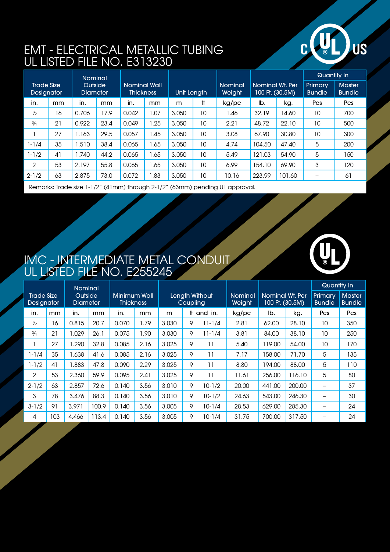

### EMT - ELECTRICAL METALLIC TUBING UL Listed File No. E313230

|                                        |    | <b>Nominal</b>             |      |                                         |      |             |    |                          |                                    |        | Quantity In              |                                |
|----------------------------------------|----|----------------------------|------|-----------------------------------------|------|-------------|----|--------------------------|------------------------------------|--------|--------------------------|--------------------------------|
| <b>Trade Size</b><br><b>Designator</b> |    | Outside<br><b>Diameter</b> |      | <b>Nominal Wall</b><br><b>Thickness</b> |      | Unit Length |    | <b>Nominal</b><br>Weight | Nominal Wt. Per<br>100 Ft. (30.5M) |        | Primary<br><b>Bundle</b> | <b>Master</b><br><b>Bundle</b> |
| in.                                    | mm | in.                        | mm   | in.                                     | mm   | m           | ft | kg/pc                    | lb.                                | kg.    | Pcs                      | Pcs                            |
| $\frac{1}{2}$                          | 16 | 0.706                      | 17.9 | 0.042                                   | 1.07 | 3.050       | 10 | .46                      | 32.19                              | 14.60  | 10                       | 700                            |
| $\frac{3}{4}$                          | 21 | 0.922                      | 23.4 | 0.049                                   | 1.25 | 3.050       | 10 | 2.21                     | 48.72                              | 22.10  | 10                       | 500                            |
|                                        | 27 | 1.163                      | 29.5 | 0.057                                   | 1.45 | 3.050       | 10 | 3.08                     | 67.90                              | 30.80  | 10                       | 300                            |
| 1-1/4                                  | 35 | .510                       | 38.4 | 0.065                                   | 1.65 | 3.050       | 10 | 4.74                     | 104.50                             | 47.40  | 5                        | 200                            |
| $1 - 1/2$                              | 4  | 1.740                      | 44.2 | 0.065                                   | 1.65 | 3.050       | 10 | 5.49                     | 121.03                             | 54.90  | 5                        | 150                            |
| 2                                      | 53 | 2.197                      | 55.8 | 0.065                                   | 1.65 | 3.050       | 10 | 6.99                     | 154.10                             | 69.90  | 3                        | 120                            |
| $2 - 1/2$                              | 63 | 2.875                      | 73.0 | 0.072                                   | 1.83 | 3.050       | 10 | 10.16                    | 223.99                             | 101.60 | -                        | 61                             |
|                                        |    |                            |      |                                         |      |             |    |                          |                                    |        |                          |                                |

Remarks: Trade size 1-1/2" (41mm) through 2-1/2" (63mm) pending UL approval.

### IMC - INTERMEDIATE METAL CONDUIT UL Listed File No. E255245

|                                 |     | <b>Nominal</b>             |               |                                  |      |                            |   |            |                          |                                    |        | Quantity In                     |                                |
|---------------------------------|-----|----------------------------|---------------|----------------------------------|------|----------------------------|---|------------|--------------------------|------------------------------------|--------|---------------------------------|--------------------------------|
| <b>Trade Size</b><br>Designator |     | Outside<br><b>Diameter</b> |               | Minimum Wall<br><b>Thickness</b> |      | Length Without<br>Coupling |   |            | <b>Nominal</b><br>Weight | Nominal Wt. Per<br>100 Ft. (30.5M) |        | <b>Primary</b><br><b>Bundle</b> | <b>Master</b><br><b>Bundle</b> |
| in.                             | mm  | in.                        | <sub>mm</sub> | in.                              | mm   | m                          |   | ft and in. | kg/pc                    | lb.                                | kg.    | <b>Pcs</b>                      | <b>Pcs</b>                     |
| $\frac{1}{2}$                   | 16  | 0.815                      | 20.7          | 0.070                            | 1.79 | 3.030                      | 9 | $11 - 1/4$ | 2.81                     | 62.00                              | 28.10  | 10                              | 350                            |
| $\frac{3}{4}$                   | 21  | .029                       | 26.1          | 0.075                            | 1.90 | 3.030                      | 9 | $11 - 1/4$ | 3.81                     | 84.00                              | 38.10  | 10                              | 250                            |
|                                 | 27  | .290                       | 32.8          | 0.085                            | 2.16 | 3.025                      | 9 |            | 5.40                     | 119.00                             | 54.00  | 10                              | 170                            |
| $1 - 1/4$                       | 35  | .638                       | 41.6          | 0.085                            | 2.16 | 3.025                      | 9 | 11         | 7.17                     | 158.00                             | 71.70  | 5                               | 135                            |
| $1 - 1/2$                       | 41  | .883                       | 47.8          | 0.090                            | 2.29 | 3.025                      | 9 |            | 8.80                     | 194.00                             | 88,00  | 5                               | 110                            |
| 2                               | 53  | 2.360                      | 59.9          | 0.095                            | 2.41 | 3.025                      | 9 | 11         | 11.61                    | 256.00                             | 116.10 | 5                               | 80                             |
| $2 - 1/2$                       | 63  | 2.857                      | 72.6          | 0.140                            | 3.56 | 3.010                      | 9 | $10-1/2$   | 20.00                    | 441.00                             | 200.00 | $\overline{\phantom{m}}$        | 37                             |
| 3                               | 78  | 3.476                      | 88.3          | 0.140                            | 3.56 | 3.010                      | 9 | $10-1/2$   | 24.63                    | 543.00                             | 246.30 |                                 | 30                             |
| $3 - 1/2$                       | 91  | 3.971                      | 100.9         | 0.140                            | 3.56 | 3.005                      | 9 | $10 - 1/4$ | 28.53                    | 629.00                             | 285.30 | $\qquad \qquad$                 | 24                             |
| 4                               | 103 | 4.466                      | 113.4         | 0.140                            | 3.56 | 3.005                      | 9 | $10 - 1/4$ | 31.75                    | 700.00                             | 317.50 |                                 | 24                             |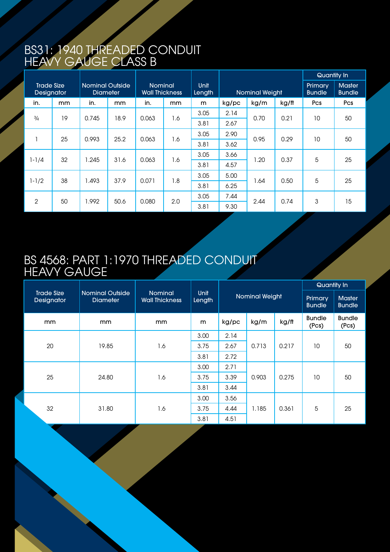### BS31: 1940 THREADED CONDUIT Heavy Gauge Class B

|                                 |    |                                           |               |                                         |     |                       |                |      |       | Quantity In              |                                |
|---------------------------------|----|-------------------------------------------|---------------|-----------------------------------------|-----|-----------------------|----------------|------|-------|--------------------------|--------------------------------|
| <b>Trade Size</b><br>Designator |    | <b>Nominal Outside</b><br><b>Diameter</b> |               | <b>Nominal</b><br><b>Wall Thickness</b> |     | <b>Unit</b><br>Length | Nominal Weight |      |       | Primary<br><b>Bundle</b> | <b>Master</b><br><b>Bundle</b> |
| in.                             | mm | in.                                       | <sub>mm</sub> | in.                                     | mm  | m                     | kg/pc          | kg/m | kg/ft | Pcs                      | Pcs                            |
| $\frac{3}{4}$                   | 19 | 0.745                                     | 18.9          | 0.063                                   | 1.6 | 3.05                  | 2.14           | 0.70 | 0.21  | 10                       | 50                             |
|                                 |    |                                           |               |                                         |     | 3.81                  | 2.67           |      |       |                          |                                |
| п                               | 25 | 0.993                                     | 25.2          | 0.063                                   | 1.6 | 3.05                  | 2.90           | 0.95 | 0.29  | 10                       | 50                             |
|                                 |    |                                           |               |                                         |     | 3.81                  | 3.62           |      |       |                          |                                |
|                                 | 32 | 1.245                                     | 31.6          | 0.063                                   | 1.6 | 3.05                  | 3.66           | 1.20 | 0.37  | 5                        | 25                             |
| $1 - 1/4$                       |    |                                           |               |                                         |     | 3.81                  | 4.57           |      |       |                          |                                |
|                                 | 38 | 1.493                                     |               |                                         | 1.8 | 3.05                  | 5.00           | 1.64 | 0.50  | 5                        | 25                             |
| $1 - 1/2$                       |    |                                           | 37.9          | 0.071                                   |     | 3.81                  | 6.25           |      |       |                          |                                |
| $\mathbf{2}$                    | 50 | 1.992                                     | 50.6          | 0.080                                   | 2.0 | 3.05                  | 7.44           | 2.44 |       |                          | 15                             |
|                                 |    |                                           |               |                                         |     | 3.81                  | 9.30           |      | 0.74  | 3                        |                                |

### BS 4568: Part 1:1970 THREADED CONDUIT **HEAVY GA**

|                                 |                                           |                                         |                       |       |                       | Quantity In              |                                |                        |
|---------------------------------|-------------------------------------------|-----------------------------------------|-----------------------|-------|-----------------------|--------------------------|--------------------------------|------------------------|
| <b>Trade Size</b><br>Designator | <b>Nominal Outside</b><br><b>Diameter</b> | <b>Nominal</b><br><b>Wall Thickness</b> | <b>Unit</b><br>Length |       | <b>Nominal Weight</b> | Primary<br><b>Bundle</b> | <b>Master</b><br><b>Bundle</b> |                        |
| mm                              | <sub>mm</sub>                             | mm                                      | m                     | kg/pc | kg/m                  | kg/ft                    | <b>Bundle</b><br>(Pcs)         | <b>Bundle</b><br>(Pcs) |
|                                 | 19.85                                     | 1.6                                     | 3.00                  | 2.14  | 0.713                 | 0.217                    | 10                             | 50                     |
| 20                              |                                           |                                         | 3.75                  | 2.67  |                       |                          |                                |                        |
|                                 |                                           |                                         | 3.81                  | 2.72  |                       |                          |                                |                        |
|                                 |                                           | 1.6                                     | 3.00                  | 2.71  | 0.903                 | 0.275                    | 10                             | 50                     |
| 25                              | 24.80                                     |                                         | 3.75                  | 3.39  |                       |                          |                                |                        |
|                                 |                                           |                                         | 3.81                  | 3.44  |                       |                          |                                |                        |
|                                 |                                           | 1.6                                     | 3.00                  | 3.56  | 1.185                 |                          |                                | 25                     |
| 32                              | 31.80                                     |                                         | 3.75                  | 4.44  |                       | 0.361                    | 5                              |                        |
|                                 |                                           |                                         | 3.81                  | 4.51  |                       |                          |                                |                        |